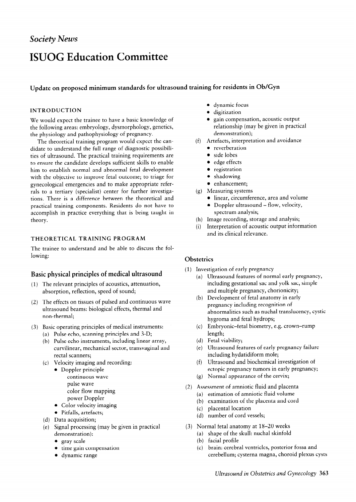# **ISUOG Education Committee**

## **Update on proposed minimum standards for ultrasound training for residents in Ob/Gyn**

#### **INTRODUCTION**

We would expect the trainee to have a basic knowledge of the following areas: embryology, dysrnorphology, genetics, the physiology and pathophysiology of pregnancy.

The theoretical training program would expect the candidate to understand the full range of diagnostic possibilities of ultrasound. The practical training requirements are to ensure the candidate develops sufficient skills to enable him to establish normal and abnormal fetal development with the objective to improve fetal outcome; to triage for gynecological emergencies and to make appropriate referrals to a tertiary (specialist) center for further investigations. There is a difference between the theoretical and practical training components. Residents do not have to accomplish in practice everything that is being taught in theory.

#### **THEORETICAL TRAINING PROGRAM**

The trainee to understand and be able to discuss the following:

## **Basic physical principles of medical ultrasound**

- (1) The relevant principles of acoustics, attenuation, absorption, reflection, speed of sound;
- (2) The effects on tissues of pulsed and continuous wave ultrasound beams: biological effects, thermal and non-thermal;
- (3) Basic operating principles of medical instruments:
	- (4 Pulse echo, scanning principles and 3-D; (b) Pulse echo instruments, including linear array, curvilinear, mechanical sector, transvaginal and rectal scanners;
	- (c) Velocity imaging and recording
		- Doppler principle continuous wave pulse wave color flow mapping power Doppler
		- $\bullet$  Color velocity imaging
		- Pitfalls, artefacts;
	- (d) Data acquisition
	- (e) Signal processing (may be given in practica demonstration):
		- $\bullet$  gray scale
		- time gain compensation
		- dynamic range
- $\bullet$  dynamic focus
- digitization
- gain compensation, acoustic output relationship (may be given in practical demonstration);
- (f) Artefacts, interpretation and avoidance
	- reverberation
	- side lobes
	- edge effects
	- $\bullet$  registration
	- $\bullet$  shadowing
	- enhancement;
- $(g)$  Measuring systems
	- $\bullet$  linear, circumference, area and volume
	- Doppler ultrasound flow, velocity, spectrum analysis;
- (h) Image recording, storage and analysis;
- (i) Interpretation of acoustic output information and its clinical relevance.

## **Obstetrics**

- (1) Investigation of early pregnancy
	- (a) Ultrasound features of normal early pregnancy including gestational sac and yolk sac, simple and multiple pregnancy, chorionicity;
	- (b) Development of fetal anatomy in early pregnancy including recognition of abnormalities such as nuchal translucency, cystic hygroma and fetal hydrops;
	- (c) Embryonic–fetal biometry, e.g. crown–run length;
	- (d) Fetal viability
	- $(e)$ Ultrasound features of early pregnancy failure including hydatidiform mole;
	- $(f)$ Ultrasound and biochemical investigation of ectopic pregnancy tumors in early pregnancy;
	- $(g)$  Normal appearance of the cervix<sub>i</sub>
- (2) Assessment of amniotic fluid and placenta
	- (a) estimation of amniotic fluid volume
	- (b) examination of the placenta and cord
	- (c) placental location
	- (d) number of cord vessels;
- (3) Normal fetal anatomy at 18-20 weeks
	- (a) shape of the skull: nuchal skinfold
	- (b) facial profile
	- (c) brain: cerebral ventricles, posterior fossa and cerebellum; cysterna magna, choroid plexus cysts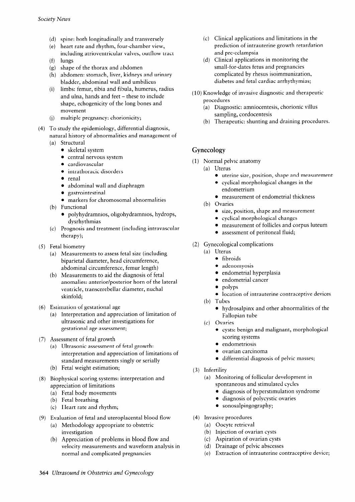- (d) spine: both longitudinally and transverse
- (e) ) heart rate and rhythm, four-chamber view
- $(f)$ including atrioventricular valves, outflow tract lungs
- (g) shape of the thorax and abdome
- (h) abdomen: stomach, liver, kidneys and urinar bladder, abdominal wall and umbilicus
- (i) limbs: femur, tibia and fibula, humerus, radiu and ulna, hands and feet - these to include shape, echogenicity of the long bones and movement
- (j) multiple pregnancy: chorionici
- (4) To study the epidemiology, differential diagnosis, natural history of abnormalities and management of
	- (a) Structural
		- $\bullet$  skeletal system
		- $\bullet$  central nervous system
		- $\bullet$  cardiovascular
		- $\bullet$  intrathoracic disorders
		- $\bullet$  renal
		- $\bullet$  abdominal wall and diaphragm
		- gastrointestinal
		- markers for chromosomal abnormalities
	- (b) Functional
		- $\bullet$  polyhydramnios, oligohydramnios, hydrops, dysrhythmias
	- (c) Prognosis and treatment (including intravascular therapy);
- (5) Fetal biometry
	- (a) Measurements to assess fetal size (including biparietal diameter, head circumference, abdominal circumference, femur length)
	- (b) Measurements to aid the diagnosis of fetal anomalies: anterior/posterior horn of the lateral ventricle, transcerebellar diameter, nuchal skinfold;
- (6) Estimation of gestational age
	- (a) Interpretation and appreciation of limitation of ultrasonic and other investigations for gestational age assessment;
- (7) Assessment of fetal growth
	- (a) Ultrasonic assessment of fetal growth: interpretation and appreciation of limitations of standard measurements singly or serially
	- (b) Fetal weight estimation;
- (8) Biophysical scoring systems: interpretation and appreciation of limitations
	- (a) Fetal body movements
	- (b) Fetal breathing
	- (c) Heart rate and rhythm;
- (9) Evaluation of fetal and uteroplacental blood flow
	- (a) Methodology appropriate to obstetric investigation
	- (b) Appreciation of problems in blood flow and velocity measurements and waveform analysis in normal and complicated pregnancies
- (c) Clinical applications and limitations in the prediction of intrauterine growth retardation and pre-eclampsia
- (d) Clinical applications in monitoring the small-for-dates fetus and pregnancies complicated by rhesus isoimmunization, diabetes and fetal cardiac arrhythymias;
- (10) Knowledge of invasive diagnostic and therapeutic procedures
	- (a) Diagnostic: amniocentesis, chorionic villus sampling, cordocentesis
	- (b) Therapeutic: shunting and draining procedures.

# **Gynecology**

- ( 1) Normal pelvic anatomy
	- (a) Uterus
		- <sup>l</sup>uterine size, position, shape and measurement
		- $\bullet$  cyclical morphological changes in the endometrium
		- measurement of endometrial thickness
	- (b) Ovaries
		- size, position, shape and measurement
		- $\bullet$  cyclical morphological changes
		- $\bullet$  measurement of follicles and corpus luteum
		- assessment of peritoneal fluid;
- (2) Gynecological complications
	- (a) Uterus
		- $\bullet$  fibroids
		- $\bullet$  adenomyosis
		- endometrial hyperplasia
		- <sup>l</sup>endometrial cancer
		- . polyps
		- $\bullet$  location of intrauterine contraceptive devices
	- $(b)$  Tubes
		- hydrosalpinx and other abnormalities of the Fallopian tube
	- (c) Ovaries
		- $\bullet$  cysts: benign and malignant, morphological scoring systems
		- endometriosis
		- <sup>l</sup>ovarian carcinoma
		- $\bullet$  differential diagnosis of pelvic masses;
- (3) Infertility
	- (a) Monitoring of follicular development in spontaneous and stimulated cycles
		- $\bullet$  diagnosis of hyperstimulation syndrome
		- diagnosis of polycystic ovaries
		- sonosalpingography;
- (4) Invasive procedures
	- (a) Oocyte retrieva
		- (b) Injection of ovarian cysts
	- (c) Aspiration of ovarian cysts
	- (d) Drainage of pelvic abscess
	- (e) Extraction of intrauterine contraceptive device